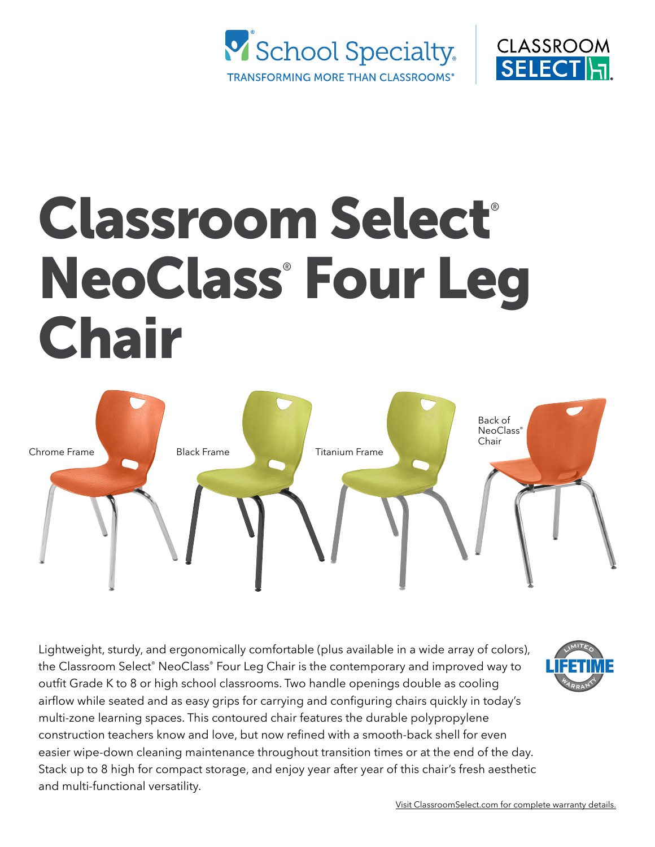



# Classroom Select® NeoClass® Four Leg Chair



Lightweight, sturdy, and ergonomically comfortable (plus available in a wide array of colors), the Classroom Select® NeoClass® Four Leg Chair is the contemporary and improved way to outfit Grade K to 8 or high school classrooms. Two handle openings double as cooling airflow while seated and as easy grips for carrying and configuring chairs quickly in today's multi-zone learning spaces. This contoured chair features the durable polypropylene construction teachers know and love, but now refined with a smooth-back shell for even easier wipe-down cleaning maintenance throughout transition times or at the end of the day. Stack up to 8 high for compact storage, and enjoy year after year of this chair's fresh aesthetic and multi-functional versatility.

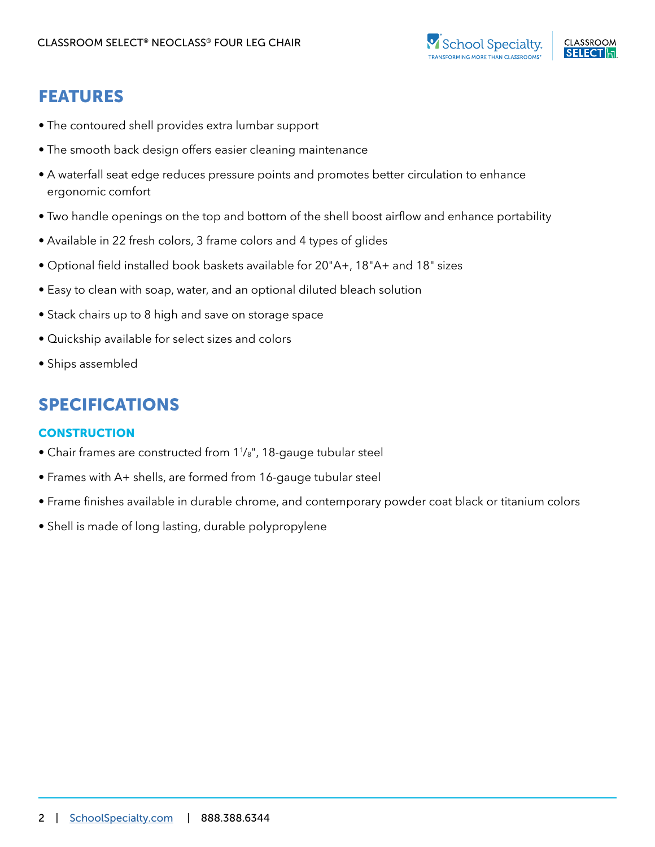

## FEATURES

- The contoured shell provides extra lumbar support
- The smooth back design offers easier cleaning maintenance
- A waterfall seat edge reduces pressure points and promotes better circulation to enhance ergonomic comfort
- Two handle openings on the top and bottom of the shell boost airflow and enhance portability
- Available in 22 fresh colors, 3 frame colors and 4 types of glides
- Optional field installed book baskets available for 20"A+, 18"A+ and 18" sizes
- Easy to clean with soap, water, and an optional diluted bleach solution
- Stack chairs up to 8 high and save on storage space
- Quickship available for select sizes and colors
- Ships assembled

## SPECIFICATIONS

### **CONSTRUCTION**

- Chair frames are constructed from 11 /8", 18-gauge tubular steel
- Frames with A+ shells, are formed from 16-gauge tubular steel
- Frame finishes available in durable chrome, and contemporary powder coat black or titanium colors
- Shell is made of long lasting, durable polypropylene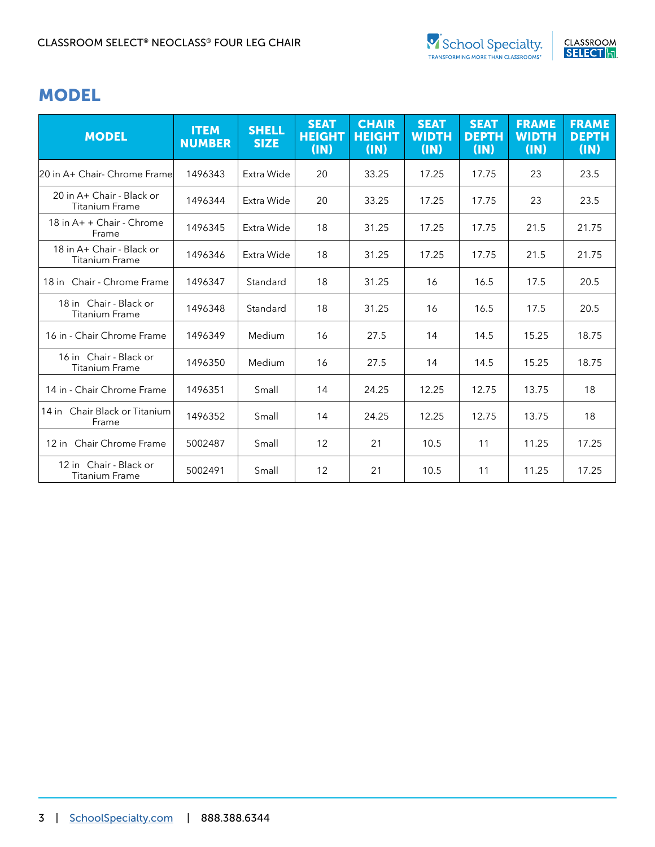

## MODEL

| <b>MODEL</b>                                       | <b>ITEM</b><br><b>NUMBER</b> | <b>SHELL</b><br><b>SIZE</b> | <b>SEAT</b><br><b>HEIGHT</b><br>(IN) | <b>CHAIR</b><br><b>HEIGHT</b><br>(IN) | <b>SEAT</b><br><b>WIDTH</b><br>(IN) | <b>SEAT</b><br><b>DEPTH</b><br>(IN) | <b>FRAME</b><br><b>WIDTH</b><br>(IN) | <b>FRAME</b><br><b>DEPTH</b><br>(IN) |
|----------------------------------------------------|------------------------------|-----------------------------|--------------------------------------|---------------------------------------|-------------------------------------|-------------------------------------|--------------------------------------|--------------------------------------|
| 20 in A+ Chair- Chrome Frame                       | 1496343                      | Extra Wide                  | 20                                   | 33.25                                 | 17.25                               | 17.75                               | 23                                   | 23.5                                 |
| 20 in A+ Chair - Black or<br><b>Titanium Frame</b> | 1496344                      | Extra Wide                  | 20                                   | 33.25                                 | 17.25                               | 17.75                               | 23                                   | 23.5                                 |
| 18 in A+ + Chair - Chrome<br>Frame                 | 1496345                      | Extra Wide                  | 18                                   | 31.25                                 | 17.25                               | 17.75                               | 21.5                                 | 21.75                                |
| 18 in A+ Chair - Black or<br><b>Titanium Frame</b> | 1496346                      | Extra Wide                  | 18                                   | 31.25                                 | 17.25                               | 17.75                               | 21.5                                 | 21.75                                |
| 18 in Chair - Chrome Frame                         | 1496347                      | Standard                    | 18                                   | 31.25                                 | 16                                  | 16.5                                | 17.5                                 | 20.5                                 |
| 18 in Chair - Black or<br><b>Titanium Frame</b>    | 1496348                      | Standard                    | 18                                   | 31.25                                 | 16                                  | 16.5                                | 17.5                                 | 20.5                                 |
| 16 in - Chair Chrome Frame                         | 1496349                      | Medium                      | 16                                   | 27.5                                  | 14                                  | 14.5                                | 15.25                                | 18.75                                |
| 16 in Chair - Black or<br><b>Titanium Frame</b>    | 1496350                      | Medium                      | 16                                   | 27.5                                  | 14                                  | 14.5                                | 15.25                                | 18.75                                |
| 14 in - Chair Chrome Frame                         | 1496351                      | Small                       | 14                                   | 24.25                                 | 12.25                               | 12.75                               | 13.75                                | 18                                   |
| 14 in Chair Black or Titanium<br>Frame             | 1496352                      | Small                       | 14                                   | 24.25                                 | 12.25                               | 12.75                               | 13.75                                | 18                                   |
| 12 in Chair Chrome Frame                           | 5002487                      | Small                       | 12                                   | 21                                    | 10.5                                | 11                                  | 11.25                                | 17.25                                |
| 12 in Chair - Black or<br><b>Titanium Frame</b>    | 5002491                      | Small                       | 12                                   | 21                                    | 10.5                                | 11                                  | 11.25                                | 17.25                                |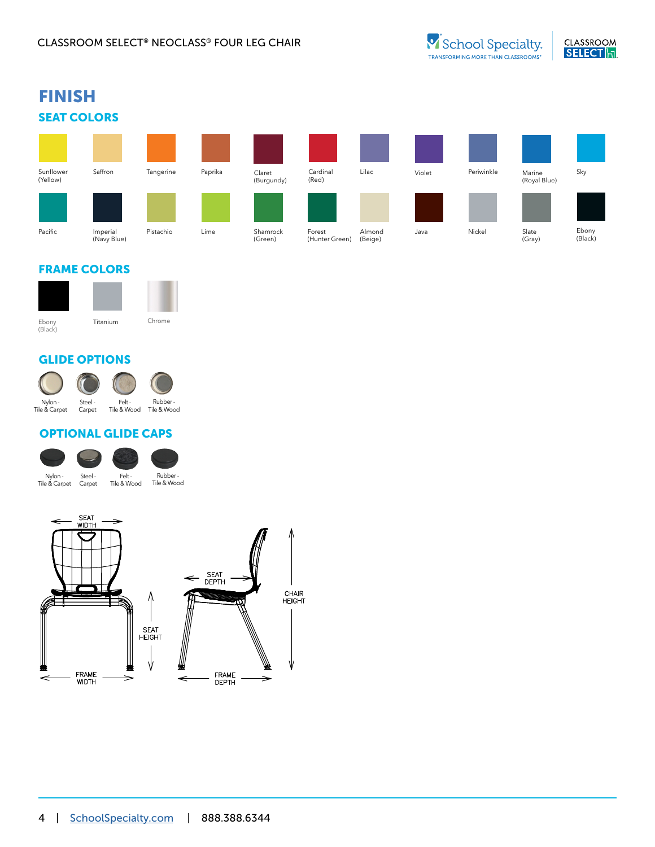

#### FRAME COLORS



#### GLIDE OPTIONS



### OPTIONAL GLIDE CAPS

| Nylon -       | Steel - |
|---------------|---------|
| Tile & Carpet | Carpet  |